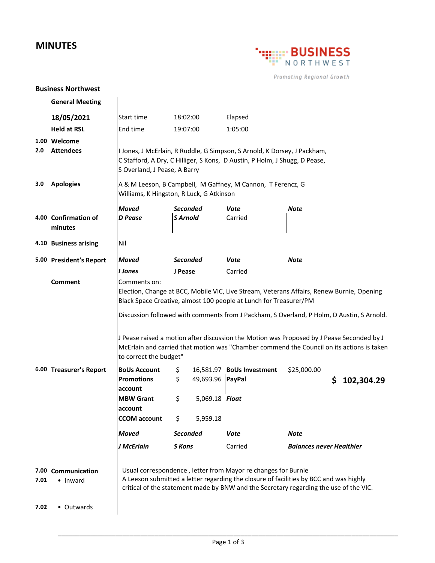## **MINUTES**



Promoting Regional Growth

## **Business Northwest**

|      | <b>General Meeting</b>           |                                                                                                                                                                                                                                                                             |                                    |                           |                                 |  |
|------|----------------------------------|-----------------------------------------------------------------------------------------------------------------------------------------------------------------------------------------------------------------------------------------------------------------------------|------------------------------------|---------------------------|---------------------------------|--|
|      | 18/05/2021                       | Start time                                                                                                                                                                                                                                                                  | 18:02:00                           | Elapsed                   |                                 |  |
|      | <b>Held at RSL</b>               | End time                                                                                                                                                                                                                                                                    | 19:07:00                           | 1:05:00                   |                                 |  |
| 2.0  | 1.00 Welcome<br><b>Attendees</b> | I Jones, J McErlain, R Ruddle, G Simpson, S Arnold, K Dorsey, J Packham,<br>C Stafford, A Dry, C Hilliger, S Kons, D Austin, P Holm, J Shugg, D Pease,<br>S Overland, J Pease, A Barry                                                                                      |                                    |                           |                                 |  |
| 3.0  | <b>Apologies</b>                 | A & M Leeson, B Campbell, M Gaffney, M Cannon, T Ferencz, G<br>Williams, K Hingston, R Luck, G Atkinson                                                                                                                                                                     |                                    |                           |                                 |  |
|      | 4.00 Confirmation of<br>minutes  | <b>Moved</b><br><b>D</b> Pease                                                                                                                                                                                                                                              | <b>Seconded</b><br><b>S</b> Arnold | Vote<br>Carried           | <b>Note</b>                     |  |
|      | 4.10 Business arising            | Nil                                                                                                                                                                                                                                                                         |                                    |                           |                                 |  |
|      | 5.00 President's Report          | <b>Moved</b>                                                                                                                                                                                                                                                                | <b>Seconded</b>                    | Vote                      | Note                            |  |
|      |                                  | I Jones                                                                                                                                                                                                                                                                     | J Pease                            | Carried                   |                                 |  |
|      | Comment                          | Comments on:<br>Election, Change at BCC, Mobile VIC, Live Stream, Veterans Affairs, Renew Burnie, Opening<br>Black Space Creative, almost 100 people at Lunch for Treasurer/PM<br>Discussion followed with comments from J Packham, S Overland, P Holm, D Austin, S Arnold. |                                    |                           |                                 |  |
|      |                                  | J Pease raised a motion after discussion the Motion was Proposed by J Pease Seconded by J<br>McErlain and carried that motion was "Chamber commend the Council on its actions is taken<br>to correct the budget"                                                            |                                    |                           |                                 |  |
|      | 6.00 Treasurer's Report          | <b>BoUs Account</b>                                                                                                                                                                                                                                                         | \$                                 | 16,581.97 BoUs Investment | \$25,000.00                     |  |
|      |                                  | <b>Promotions</b><br>account                                                                                                                                                                                                                                                | \$<br>49,693.96 PayPal             |                           | 102,304.29                      |  |
|      |                                  | <b>MBW Grant</b>                                                                                                                                                                                                                                                            | \$<br>5,069.18 Float               |                           |                                 |  |
|      |                                  | account<br><b>CCOM</b> account                                                                                                                                                                                                                                              | \$<br>5,959.18                     |                           |                                 |  |
|      |                                  | <b>Moved</b>                                                                                                                                                                                                                                                                | <b>Seconded</b>                    | Vote                      | Note                            |  |
|      |                                  | J McErlain                                                                                                                                                                                                                                                                  | S Kons                             | Carried                   | <b>Balances never Healthier</b> |  |
|      |                                  |                                                                                                                                                                                                                                                                             |                                    |                           |                                 |  |
| 7.01 | 7.00 Communication<br>• Inward   | Usual correspondence, letter from Mayor re changes for Burnie<br>A Leeson submitted a letter regarding the closure of facilities by BCC and was highly<br>critical of the statement made by BNW and the Secretary regarding the use of the VIC.                             |                                    |                           |                                 |  |
| 7.02 | • Outwards                       |                                                                                                                                                                                                                                                                             |                                    |                           |                                 |  |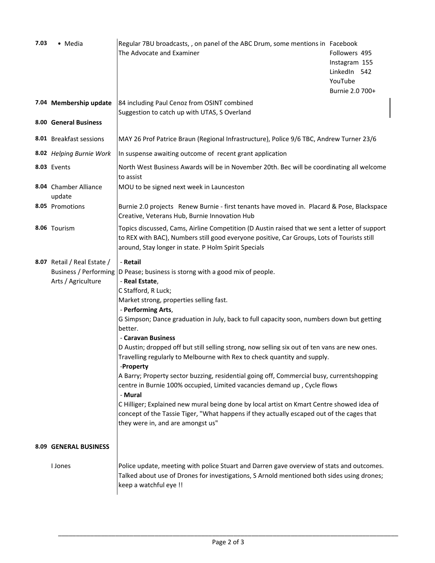| 7.03 | • Media                                                                           | Regular 7BU broadcasts, , on panel of the ABC Drum, some mentions in Facebook<br>The Advocate and Examiner                                                                                                                                                                                                                                                                                                                                                                                                                                                                                                                                                                                                                                                                                                                                                                                                              | Followers 495<br>Instagram 155<br>LinkedIn 542<br>YouTube<br>Burnie 2.0 700+ |  |
|------|-----------------------------------------------------------------------------------|-------------------------------------------------------------------------------------------------------------------------------------------------------------------------------------------------------------------------------------------------------------------------------------------------------------------------------------------------------------------------------------------------------------------------------------------------------------------------------------------------------------------------------------------------------------------------------------------------------------------------------------------------------------------------------------------------------------------------------------------------------------------------------------------------------------------------------------------------------------------------------------------------------------------------|------------------------------------------------------------------------------|--|
|      | 7.04 Membership update                                                            | 84 including Paul Cenoz from OSINT combined<br>Suggestion to catch up with UTAS, S Overland                                                                                                                                                                                                                                                                                                                                                                                                                                                                                                                                                                                                                                                                                                                                                                                                                             |                                                                              |  |
|      | 8.00 General Business                                                             |                                                                                                                                                                                                                                                                                                                                                                                                                                                                                                                                                                                                                                                                                                                                                                                                                                                                                                                         |                                                                              |  |
|      | 8.01 Breakfast sessions                                                           | MAY 26 Prof Patrice Braun (Regional Infrastructure), Police 9/6 TBC, Andrew Turner 23/6                                                                                                                                                                                                                                                                                                                                                                                                                                                                                                                                                                                                                                                                                                                                                                                                                                 |                                                                              |  |
|      | 8.02 Helping Burnie Work                                                          | In suspense awaiting outcome of recent grant application                                                                                                                                                                                                                                                                                                                                                                                                                                                                                                                                                                                                                                                                                                                                                                                                                                                                |                                                                              |  |
|      | 8.03 Events                                                                       | North West Business Awards will be in November 20th. Bec will be coordinating all welcome<br>to assist                                                                                                                                                                                                                                                                                                                                                                                                                                                                                                                                                                                                                                                                                                                                                                                                                  |                                                                              |  |
|      | 8.04 Chamber Alliance<br>update                                                   | MOU to be signed next week in Launceston                                                                                                                                                                                                                                                                                                                                                                                                                                                                                                                                                                                                                                                                                                                                                                                                                                                                                |                                                                              |  |
|      | 8.05 Promotions                                                                   | Burnie 2.0 projects Renew Burnie - first tenants have moved in. Placard & Pose, Blackspace<br>Creative, Veterans Hub, Burnie Innovation Hub                                                                                                                                                                                                                                                                                                                                                                                                                                                                                                                                                                                                                                                                                                                                                                             |                                                                              |  |
|      | 8.06 Tourism                                                                      | Topics discussed, Cams, Airline Competition (D Austin raised that we sent a letter of support<br>to REX with BAC), Numbers still good everyone positive, Car Groups, Lots of Tourists still<br>around, Stay longer in state. P Holm Spirit Specials                                                                                                                                                                                                                                                                                                                                                                                                                                                                                                                                                                                                                                                                     |                                                                              |  |
|      | 8.07 Retail / Real Estate /<br><b>Business / Performing</b><br>Arts / Agriculture | - Retail<br>D Pease; business is storng with a good mix of people.<br>- Real Estate,<br>C Stafford, R Luck;<br>Market strong, properties selling fast.<br>- Performing Arts,<br>G Simpson; Dance graduation in July, back to full capacity soon, numbers down but getting<br>better.<br>- Caravan Business<br>D Austin; dropped off but still selling strong, now selling six out of ten vans are new ones.<br>Travelling regularly to Melbourne with Rex to check quantity and supply.<br>-Property<br>A Barry; Property sector buzzing, residential going off, Commercial busy, currentshopping<br>centre in Burnie 100% occupied, Limited vacancies demand up, Cycle flows<br>- Mural<br>C Hilliger; Explained new mural being done by local artist on Kmart Centre showed idea of<br>concept of the Tassie Tiger, "What happens if they actually escaped out of the cages that<br>they were in, and are amongst us" |                                                                              |  |
|      | 8.09 GENERAL BUSINESS                                                             |                                                                                                                                                                                                                                                                                                                                                                                                                                                                                                                                                                                                                                                                                                                                                                                                                                                                                                                         |                                                                              |  |
|      | I Jones                                                                           | Police update, meeting with police Stuart and Darren gave overview of stats and outcomes.<br>Talked about use of Drones for investigations, S Arnold mentioned both sides using drones;<br>keep a watchful eye !!                                                                                                                                                                                                                                                                                                                                                                                                                                                                                                                                                                                                                                                                                                       |                                                                              |  |